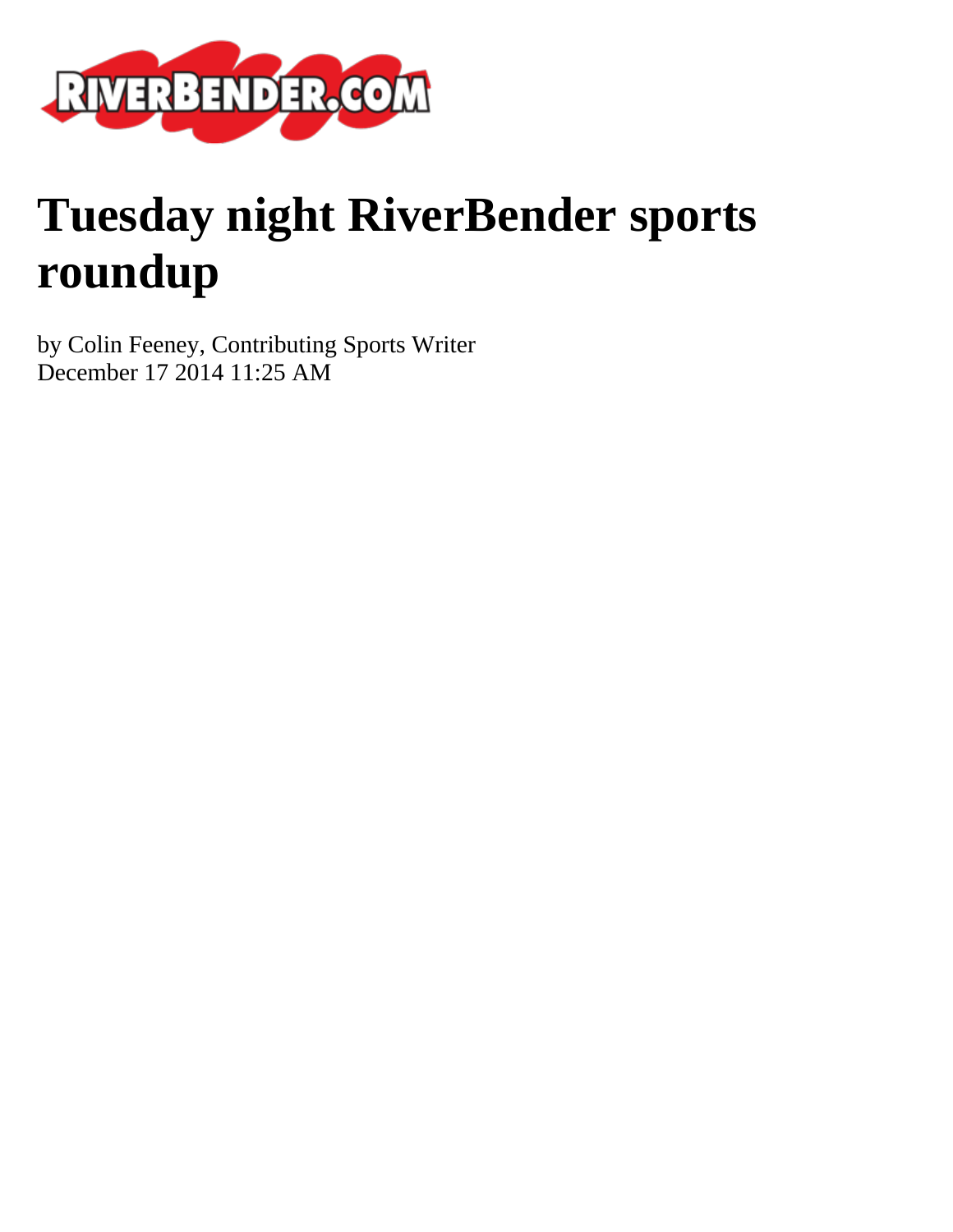

# **Tuesday night RiverBender sports roundup**

by Colin Feeney, Contributing Sports Writer December 17 2014 11:25 AM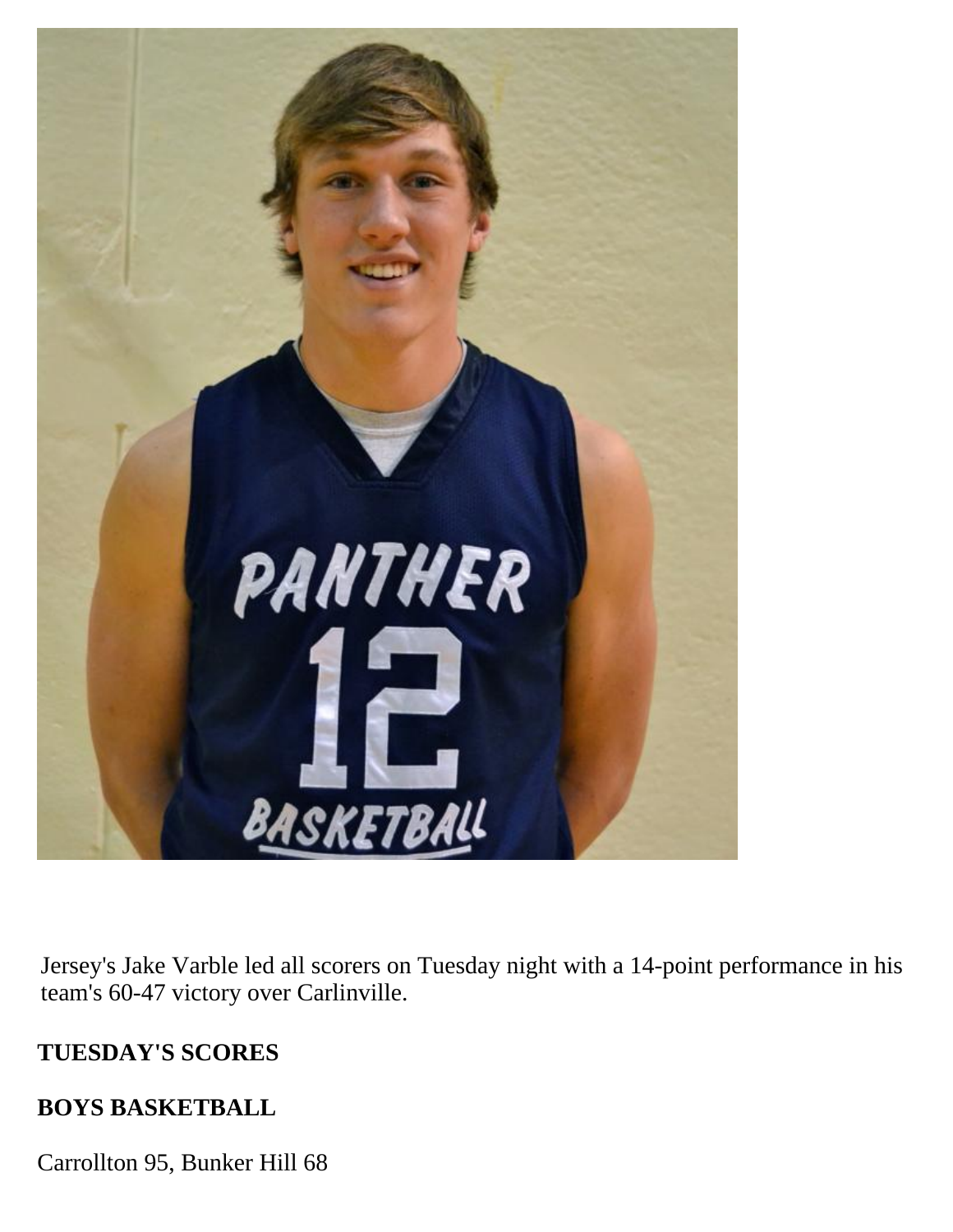

Jersey's Jake Varble led all scorers on Tuesday night with a 14-point performance in his team's 60-47 victory over Carlinville.

## **TUESDAY'S SCORES**

#### **BOYS BASKETBALL**

Carrollton 95, Bunker Hill 68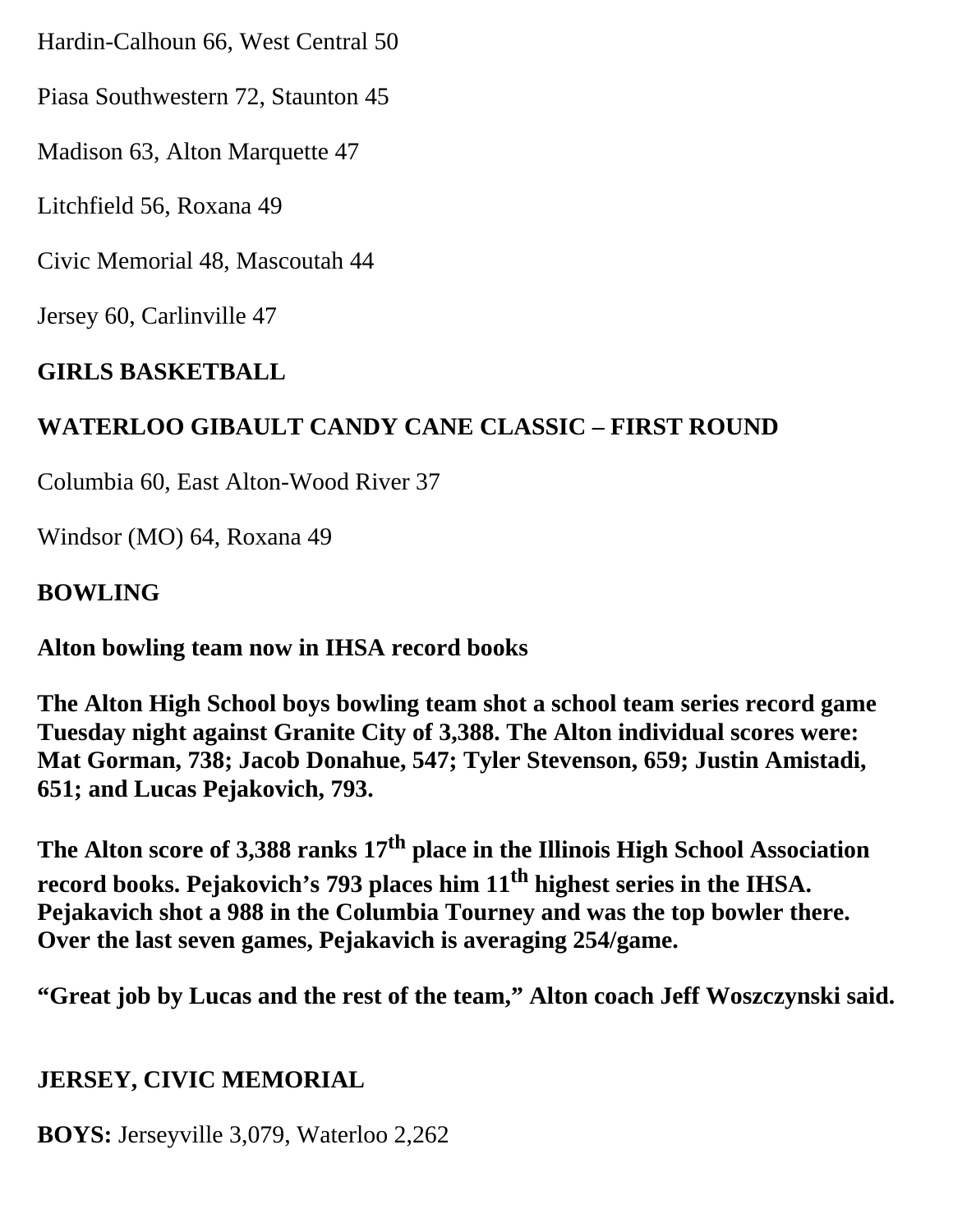Hardin-Calhoun 66, West Central 50

Piasa Southwestern 72, Staunton 45

Madison 63, Alton Marquette 47

Litchfield 56, Roxana 49

Civic Memorial 48, Mascoutah 44

Jersey 60, Carlinville 47

## **GIRLS BASKETBALL**

## **WATERLOO GIBAULT CANDY CANE CLASSIC – FIRST ROUND**

Columbia 60, East Alton-Wood River 37

Windsor (MO) 64, Roxana 49

#### **BOWLING**

**Alton bowling team now in IHSA record books**

**The Alton High School boys bowling team shot a school team series record game Tuesday night against Granite City of 3,388. The Alton individual scores were: Mat Gorman, 738; Jacob Donahue, 547; Tyler Stevenson, 659; Justin Amistadi, 651; and Lucas Pejakovich, 793.**

The Alton score of 3,388 ranks 17<sup>th</sup> place in the Illinois High School Association record books. Pejakovich's 793 places him 11<sup>th</sup> highest series in the IHSA. **Pejakavich shot a 988 in the Columbia Tourney and was the top bowler there. Over the last seven games, Pejakavich is averaging 254/game.**

**"Great job by Lucas and the rest of the team," Alton coach Jeff Woszczynski said.**

#### **JERSEY, CIVIC MEMORIAL**

**BOYS:** Jerseyville 3,079, Waterloo 2,262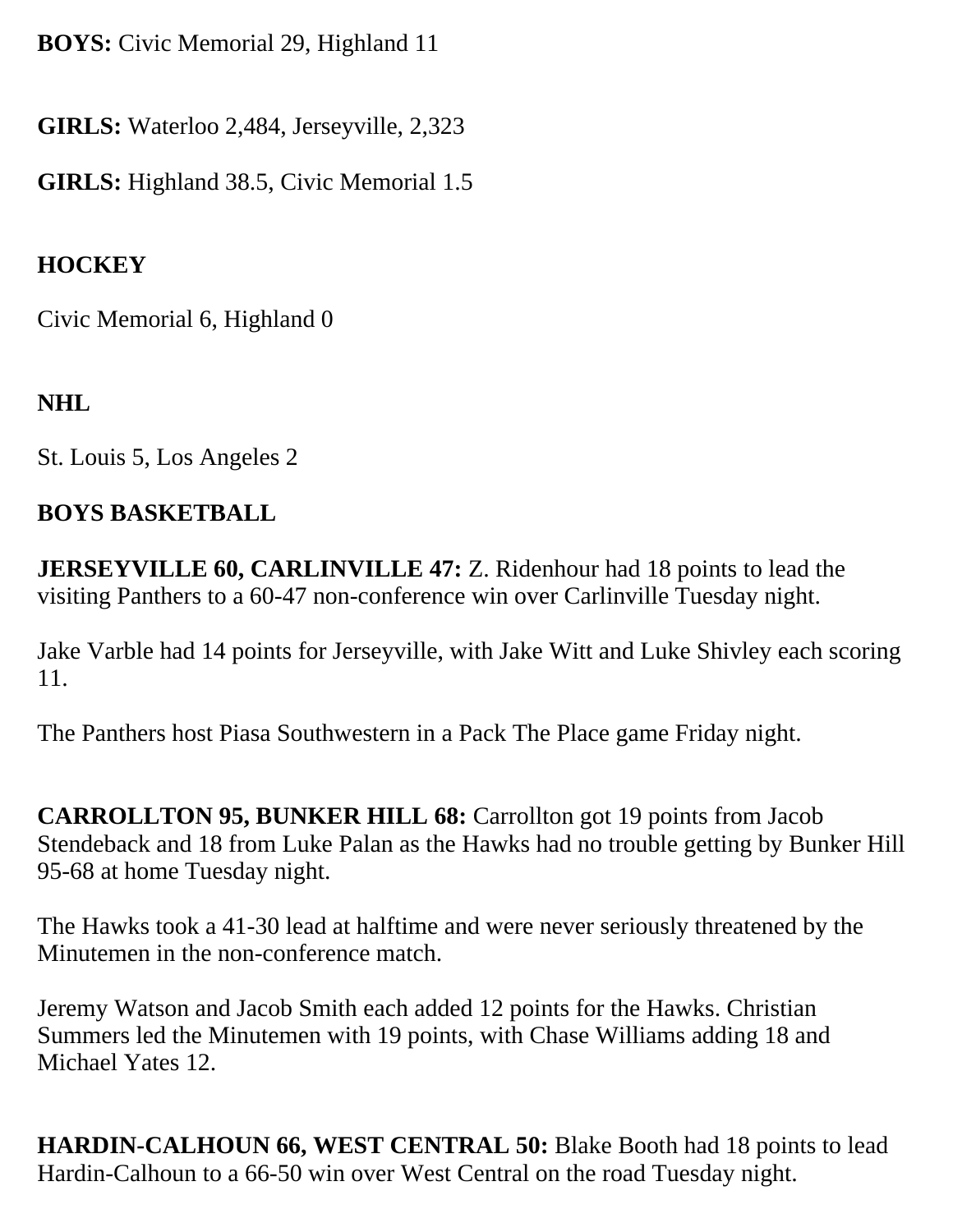**BOYS:** Civic Memorial 29, Highland 11

**GIRLS:** Waterloo 2,484, Jerseyville, 2,323

**GIRLS:** Highland 38.5, Civic Memorial 1.5

# **HOCKEY**

Civic Memorial 6, Highland 0

# **NHL**

St. Louis 5, Los Angeles 2

# **BOYS BASKETBALL**

**JERSEYVILLE 60, CARLINVILLE 47: Z. Ridenhour had 18 points to lead the** visiting Panthers to a 60-47 non-conference win over Carlinville Tuesday night.

Jake Varble had 14 points for Jerseyville, with Jake Witt and Luke Shivley each scoring 11.

The Panthers host Piasa Southwestern in a Pack The Place game Friday night.

**CARROLLTON 95, BUNKER HILL 68:** Carrollton got 19 points from Jacob Stendeback and 18 from Luke Palan as the Hawks had no trouble getting by Bunker Hill 95-68 at home Tuesday night.

The Hawks took a 41-30 lead at halftime and were never seriously threatened by the Minutemen in the non-conference match.

Jeremy Watson and Jacob Smith each added 12 points for the Hawks. Christian Summers led the Minutemen with 19 points, with Chase Williams adding 18 and Michael Yates 12.

**HARDIN-CALHOUN 66, WEST CENTRAL 50:** Blake Booth had 18 points to lead Hardin-Calhoun to a 66-50 win over West Central on the road Tuesday night.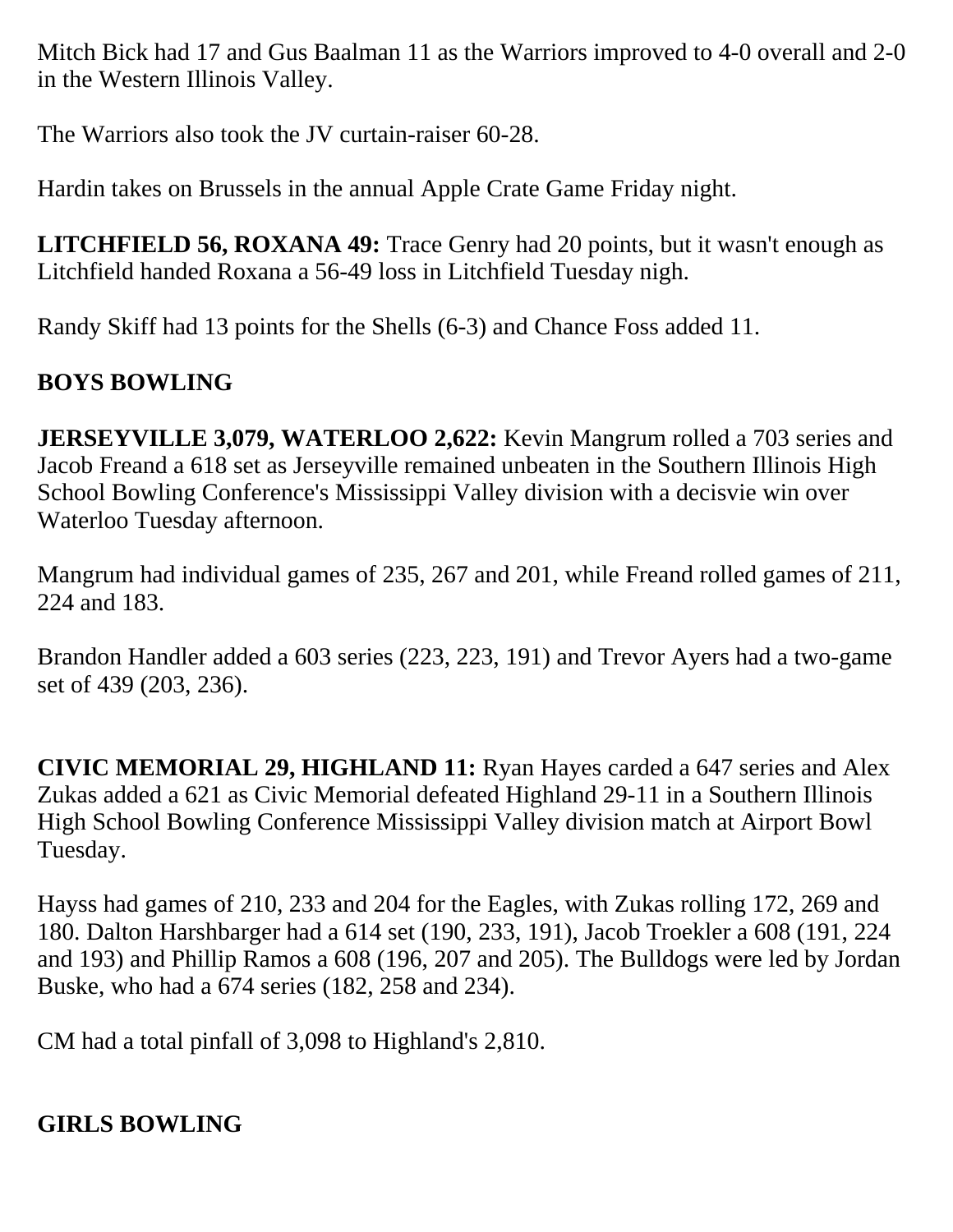Mitch Bick had 17 and Gus Baalman 11 as the Warriors improved to 4-0 overall and 2-0 in the Western Illinois Valley.

The Warriors also took the JV curtain-raiser 60-28.

Hardin takes on Brussels in the annual Apple Crate Game Friday night.

**LITCHFIELD 56, ROXANA 49:** Trace Genry had 20 points, but it wasn't enough as Litchfield handed Roxana a 56-49 loss in Litchfield Tuesday nigh.

Randy Skiff had 13 points for the Shells (6-3) and Chance Foss added 11.

# **BOYS BOWLING**

**JERSEYVILLE 3,079, WATERLOO 2,622:** Kevin Mangrum rolled a 703 series and Jacob Freand a 618 set as Jerseyville remained unbeaten in the Southern Illinois High School Bowling Conference's Mississippi Valley division with a decisvie win over Waterloo Tuesday afternoon.

Mangrum had individual games of 235, 267 and 201, while Freand rolled games of 211, 224 and 183.

Brandon Handler added a 603 series (223, 223, 191) and Trevor Ayers had a two-game set of 439 (203, 236).

**CIVIC MEMORIAL 29, HIGHLAND 11:** Ryan Hayes carded a 647 series and Alex Zukas added a 621 as Civic Memorial defeated Highland 29-11 in a Southern Illinois High School Bowling Conference Mississippi Valley division match at Airport Bowl Tuesday.

Hayss had games of 210, 233 and 204 for the Eagles, with Zukas rolling 172, 269 and 180. Dalton Harshbarger had a 614 set (190, 233, 191), Jacob Troekler a 608 (191, 224 and 193) and Phillip Ramos a 608 (196, 207 and 205). The Bulldogs were led by Jordan Buske, who had a 674 series (182, 258 and 234).

CM had a total pinfall of 3,098 to Highland's 2,810.

# **GIRLS BOWLING**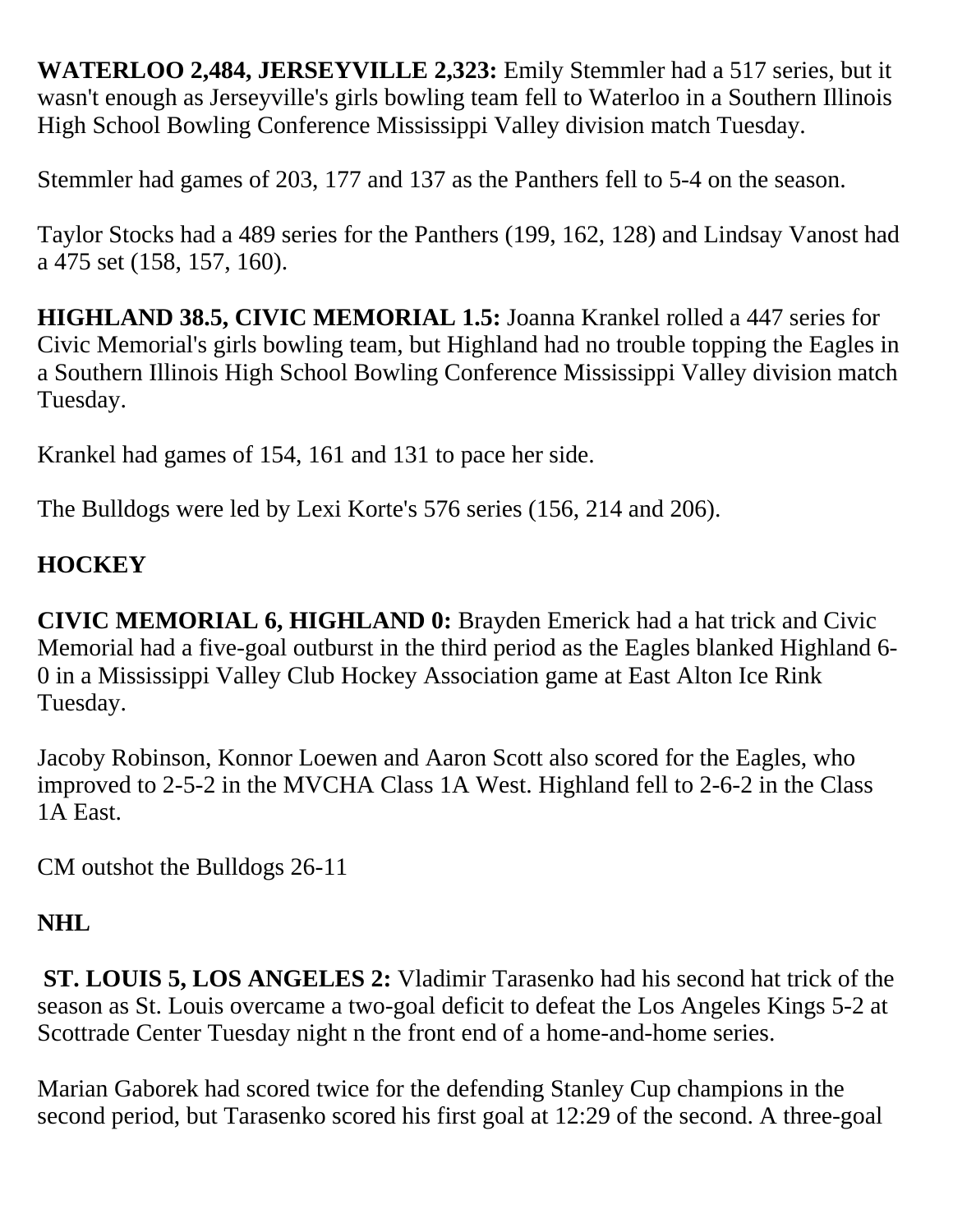**WATERLOO 2,484, JERSEYVILLE 2,323:** Emily Stemmler had a 517 series, but it wasn't enough as Jerseyville's girls bowling team fell to Waterloo in a Southern Illinois High School Bowling Conference Mississippi Valley division match Tuesday.

Stemmler had games of 203, 177 and 137 as the Panthers fell to 5-4 on the season.

Taylor Stocks had a 489 series for the Panthers (199, 162, 128) and Lindsay Vanost had a 475 set (158, 157, 160).

**HIGHLAND 38.5, CIVIC MEMORIAL 1.5:** Joanna Krankel rolled a 447 series for Civic Memorial's girls bowling team, but Highland had no trouble topping the Eagles in a Southern Illinois High School Bowling Conference Mississippi Valley division match Tuesday.

Krankel had games of 154, 161 and 131 to pace her side.

The Bulldogs were led by Lexi Korte's 576 series (156, 214 and 206).

# **HOCKEY**

**CIVIC MEMORIAL 6, HIGHLAND 0:** Brayden Emerick had a hat trick and Civic Memorial had a five-goal outburst in the third period as the Eagles blanked Highland 6- 0 in a Mississippi Valley Club Hockey Association game at East Alton Ice Rink Tuesday.

Jacoby Robinson, Konnor Loewen and Aaron Scott also scored for the Eagles, who improved to 2-5-2 in the MVCHA Class 1A West. Highland fell to 2-6-2 in the Class 1A East.

CM outshot the Bulldogs 26-11

# **NHL**

 **ST. LOUIS 5, LOS ANGELES 2:** Vladimir Tarasenko had his second hat trick of the season as St. Louis overcame a two-goal deficit to defeat the Los Angeles Kings 5-2 at Scottrade Center Tuesday night n the front end of a home-and-home series.

Marian Gaborek had scored twice for the defending Stanley Cup champions in the second period, but Tarasenko scored his first goal at 12:29 of the second. A three-goal